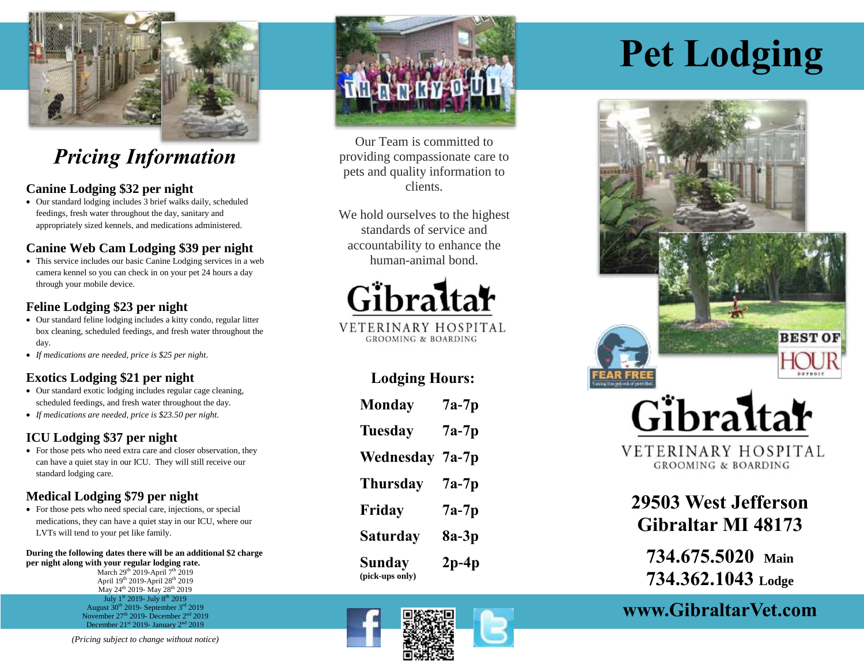

## *Pricing Information*

#### **Canine Lodging \$32 per night**

 Our standard lodging includes 3 brief walks daily, scheduled feedings, fresh water throughout the day, sanitary and appropriately sized kennels, and medications administered.

#### **Canine Web Cam Lodging \$39 per night**

 This service includes our basic Canine Lodging services in a web camera kennel so you can check in on your pet 24 hours a day through your mobile device.

#### **Feline Lodging \$23 per night**

- Our standard feline lodging includes a kitty condo, regular litter box cleaning, scheduled feedings, and fresh water throughout the day.
- *If medications are needed, price is \$25 per night*.

#### **Exotics Lodging \$21 per night**

- Our standard exotic lodging includes regular cage cleaning, scheduled feedings, and fresh water throughout the day.
- *If medications are needed, price is \$23.50 per night.*

#### **ICU Lodging \$37 per night**

• For those pets who need extra care and closer observation, they can have a quiet stay in our ICU. They will still receive our standard lodging care.

#### **Medical Lodging \$79 per night**

 For those pets who need special care, injections, or special medications, they can have a quiet stay in our ICU, where our LVTs will tend to your pet like family.

#### **During the following dates there will be an additional \$2 charge per night along with your regular lodging rate.**

March  $29^{th}$  2019-April  $7^{th}$  2019 April 19th 2019-April 28th 2019 May 24<sup>th</sup> 2019- May 28<sup>th</sup> 2019 July 1<sup>st</sup> 2019- July 8<sup>th</sup> 2019 August  $30<sup>th</sup>$  2019- September  $3<sup>rd</sup>$  2019 November 27<sup>th</sup> 2019- December 2<sup>nd</sup> 2019 December  $21^{\text{st}}$  2019- January  $2^{\text{nd}}$  2019





Our Team is committed to providing compassionate care to pets and quality information to clients.

We hold ourselves to the highest standards of service and accountability to enhance the human-animal bond.



VETERINARY HOSPITAL **GROOMING & BOARDING** 

#### **Lodging Hours:**

| <b>Monday</b>                    | $7a-7p$ |
|----------------------------------|---------|
| <b>Tuesday</b>                   | 7a-7p   |
| Wednesday                        | 7a-7p   |
| <b>Thursday</b>                  | 7a-7p   |
| Friday                           | $7a-7p$ |
| Saturday                         | 8a-3p   |
| <b>Sunday</b><br>(pick-ups only) | $2p-4p$ |



# **Pet Lodging**



**GROOMING & BOARDING** 

### **29503 West Jefferson Gibraltar MI 48173**

**734.675.5020 Main 734.362.1043 Lodge**

### **www.GibraltarVet.com**